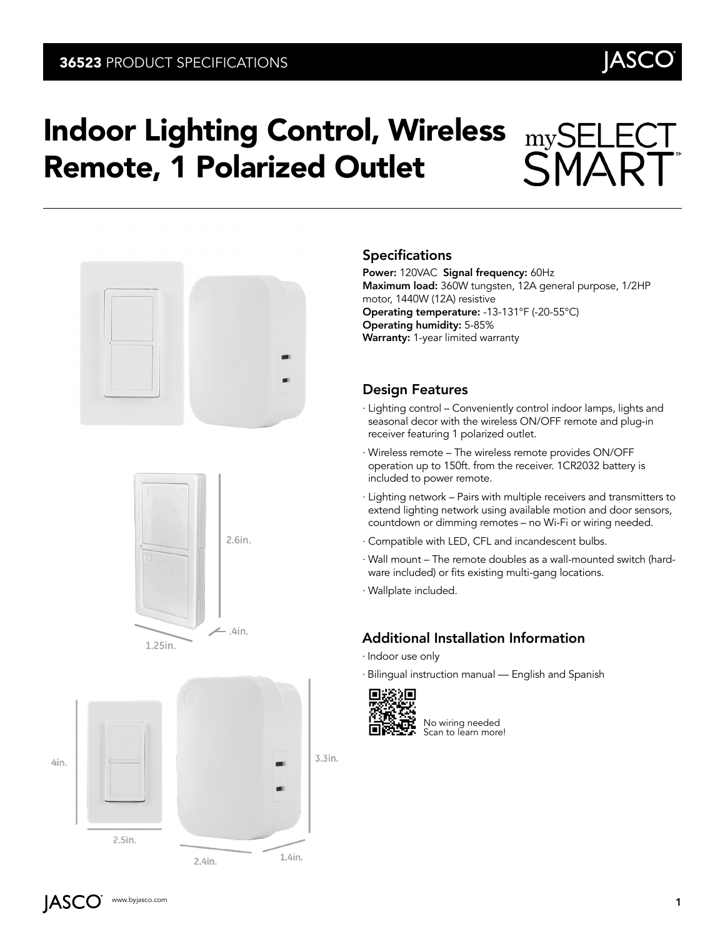

# Indoor Lighting Control, Wireless Remote, 1 Polarized Outlet





4in.



#### **Specifications**

Power: 120VAC Signal frequency: 60Hz Maximum load: 360W tungsten, 12A general purpose, 1/2HP motor, 1440W (12A) resistive Operating temperature: -13-131°F (-20-55°C) Operating humidity: 5-85% Warranty: 1-year limited warranty

 $mySE$ 

#### Design Features

- ∙ Lighting control Conveniently control indoor lamps, lights and seasonal decor with the wireless ON/OFF remote and plug-in receiver featuring 1 polarized outlet.
- ∙ Wireless remote The wireless remote provides ON/OFF operation up to 150ft. from the receiver. 1CR2032 battery is included to power remote.
- ∙ Lighting network Pairs with multiple receivers and transmitters to extend lighting network using available motion and door sensors, countdown or dimming remotes – no Wi-Fi or wiring needed.
- ∙ Compatible with LED, CFL and incandescent bulbs.
- ∙ Wall mount The remote doubles as a wall-mounted switch (hardware included) or fits existing multi-gang locations.
- ∙ Wallplate included.

### Additional Installation Information

- ∙ Indoor use only
- ∙ Bilingual instruction manual English and Spanish



No wiring needed Scan to learn more!